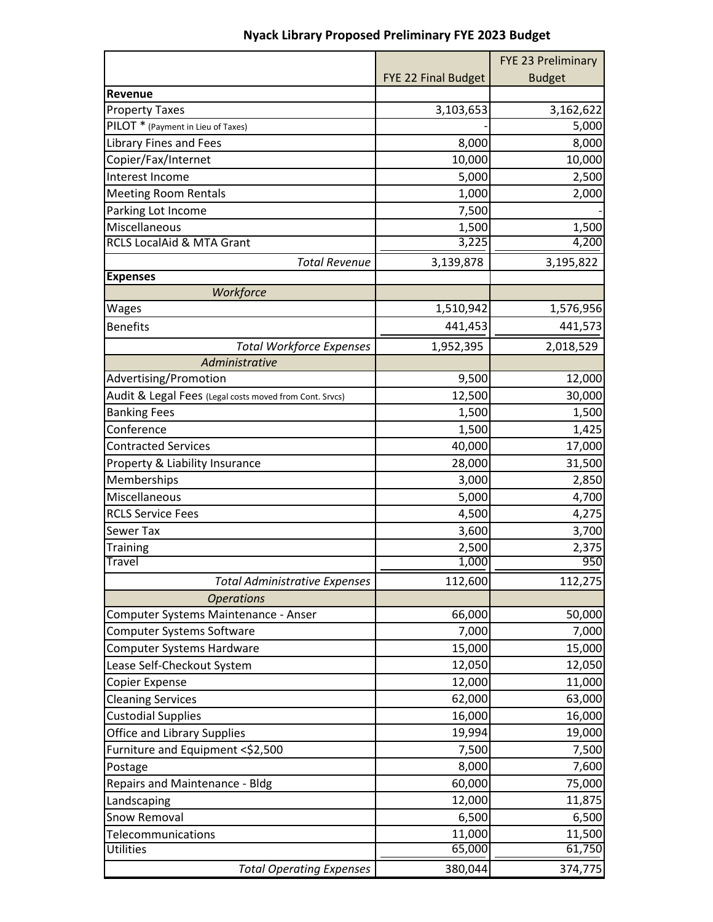|                                                         |                     | FYE 23 Preliminary |
|---------------------------------------------------------|---------------------|--------------------|
|                                                         | FYE 22 Final Budget | <b>Budget</b>      |
| Revenue                                                 |                     |                    |
| <b>Property Taxes</b>                                   | 3,103,653           | 3,162,622          |
| PILOT * (Payment in Lieu of Taxes)                      |                     | 5,000              |
| <b>Library Fines and Fees</b>                           | 8,000               | 8,000              |
| Copier/Fax/Internet                                     | 10,000              | 10,000             |
| Interest Income                                         | 5,000               | 2,500              |
| <b>Meeting Room Rentals</b>                             | 1,000               | 2,000              |
| Parking Lot Income                                      | 7,500               |                    |
| Miscellaneous                                           | 1,500               | 1,500              |
| <b>RCLS LocalAid &amp; MTA Grant</b>                    | 3,225               | 4,200              |
| <b>Total Revenue</b>                                    | 3,139,878           | 3,195,822          |
| <b>Expenses</b>                                         |                     |                    |
| Workforce                                               |                     |                    |
| Wages                                                   | 1,510,942           | 1,576,956          |
| <b>Benefits</b>                                         | 441,453             | 441,573            |
| <b>Total Workforce Expenses</b>                         | 1,952,395           | 2,018,529          |
| Administrative                                          |                     |                    |
| Advertising/Promotion                                   | 9,500               | 12,000             |
| Audit & Legal Fees (Legal costs moved from Cont. Srvcs) | 12,500              | 30,000             |
| <b>Banking Fees</b>                                     | 1,500               | 1,500              |
| Conference                                              | 1,500               | 1,425              |
| <b>Contracted Services</b>                              | 40,000              | 17,000             |
| Property & Liability Insurance                          | 28,000              | 31,500             |
| Memberships                                             | 3,000               | 2,850              |
| Miscellaneous                                           | 5,000               | 4,700              |
| <b>RCLS Service Fees</b>                                | 4,500               | 4,275              |
| Sewer Tax                                               | 3,600               | 3,700              |
| <b>Training</b>                                         | 2,500               | 2,375              |
| <b>Travel</b>                                           | 1,000               | 950                |
| <b>Total Administrative Expenses</b>                    | 112,600             | 112,275            |
| <b>Operations</b>                                       |                     |                    |
| Computer Systems Maintenance - Anser                    | 66,000              | 50,000             |
| Computer Systems Software                               | 7,000               | 7,000              |
| Computer Systems Hardware                               | 15,000              | 15,000             |
| Lease Self-Checkout System                              | 12,050              | 12,050             |
| Copier Expense                                          | 12,000              | 11,000             |
| <b>Cleaning Services</b>                                | 62,000              | 63,000             |
| <b>Custodial Supplies</b>                               | 16,000              | 16,000             |
| <b>Office and Library Supplies</b>                      | 19,994              | 19,000             |
| Furniture and Equipment <\$2,500                        | 7,500               | 7,500              |
| Postage                                                 | 8,000               | 7,600              |
| Repairs and Maintenance - Bldg                          | 60,000              | 75,000             |
| Landscaping                                             | 12,000              | 11,875             |
| Snow Removal                                            | 6,500               | 6,500              |
| Telecommunications                                      | 11,000              | 11,500             |
| <b>Utilities</b>                                        | 65,000              | 61,750             |
| <b>Total Operating Expenses</b>                         | 380,044             | 374,775            |

## **Nyack Library Proposed Preliminary FYE 2023 Budget**